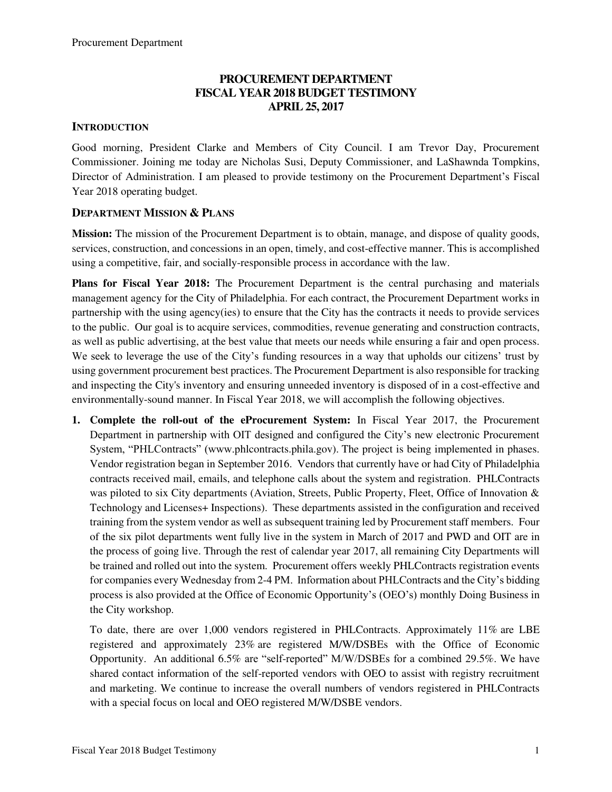## **PROCUREMENT DEPARTMENT FISCAL YEAR 2018 BUDGET TESTIMONY APRIL 25, 2017**

#### **INTRODUCTION**

Good morning, President Clarke and Members of City Council. I am Trevor Day, Procurement Commissioner. Joining me today are Nicholas Susi, Deputy Commissioner, and LaShawnda Tompkins, Director of Administration. I am pleased to provide testimony on the Procurement Department's Fiscal Year 2018 operating budget.

#### **DEPARTMENT MISSION & PLANS**

**Mission:** The mission of the Procurement Department is to obtain, manage, and dispose of quality goods, services, construction, and concessions in an open, timely, and cost-effective manner. This is accomplished using a competitive, fair, and socially-responsible process in accordance with the law.

**Plans for Fiscal Year 2018:** The Procurement Department is the central purchasing and materials management agency for the City of Philadelphia. For each contract, the Procurement Department works in partnership with the using agency(ies) to ensure that the City has the contracts it needs to provide services to the public. Our goal is to acquire services, commodities, revenue generating and construction contracts, as well as public advertising, at the best value that meets our needs while ensuring a fair and open process. We seek to leverage the use of the City's funding resources in a way that upholds our citizens' trust by using government procurement best practices. The Procurement Department is also responsible for tracking and inspecting the City's inventory and ensuring unneeded inventory is disposed of in a cost-effective and environmentally-sound manner. In Fiscal Year 2018, we will accomplish the following objectives.

**1. Complete the roll-out of the eProcurement System:** In Fiscal Year 2017, the Procurement Department in partnership with OIT designed and configured the City's new electronic Procurement System, "PHLContracts" (www.phlcontracts.phila.gov). The project is being implemented in phases. Vendor registration began in September 2016. Vendors that currently have or had City of Philadelphia contracts received mail, emails, and telephone calls about the system and registration. PHLContracts was piloted to six City departments (Aviation, Streets, Public Property, Fleet, Office of Innovation & Technology and Licenses+ Inspections). These departments assisted in the configuration and received training from the system vendor as well as subsequent training led by Procurement staff members. Four of the six pilot departments went fully live in the system in March of 2017 and PWD and OIT are in the process of going live. Through the rest of calendar year 2017, all remaining City Departments will be trained and rolled out into the system. Procurement offers weekly PHLContracts registration events for companies every Wednesday from 2-4 PM. Information about PHLContracts and the City's bidding process is also provided at the Office of Economic Opportunity's (OEO's) monthly Doing Business in the City workshop.

To date, there are over 1,000 vendors registered in PHLContracts. Approximately 11% are LBE registered and approximately 23% are registered M/W/DSBEs with the Office of Economic Opportunity. An additional 6.5% are "self-reported" M/W/DSBEs for a combined 29.5%. We have shared contact information of the self-reported vendors with OEO to assist with registry recruitment and marketing. We continue to increase the overall numbers of vendors registered in PHLContracts with a special focus on local and OEO registered M/W/DSBE vendors.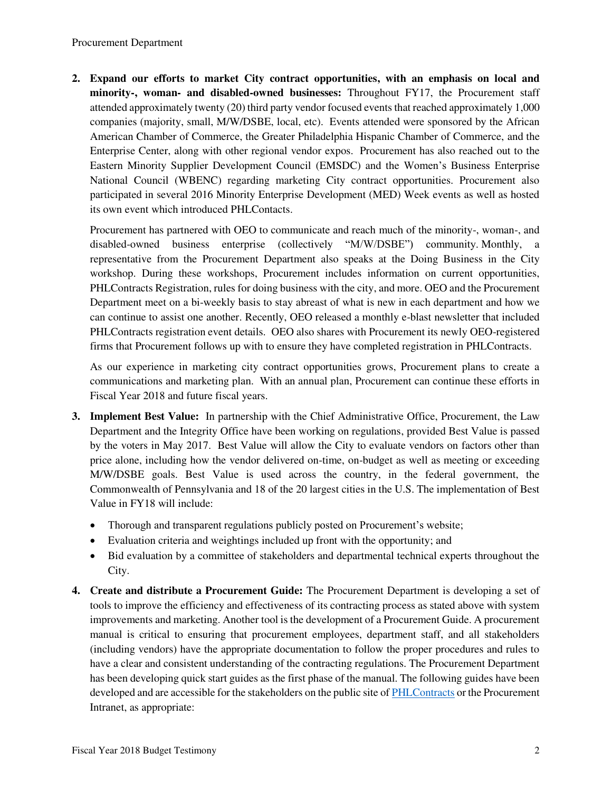#### Procurement Department

**2. Expand our efforts to market City contract opportunities, with an emphasis on local and minority-, woman- and disabled-owned businesses:** Throughout FY17, the Procurement staff attended approximately twenty (20) third party vendor focused events that reached approximately 1,000 companies (majority, small, M/W/DSBE, local, etc). Events attended were sponsored by the African American Chamber of Commerce, the Greater Philadelphia Hispanic Chamber of Commerce, and the Enterprise Center, along with other regional vendor expos. Procurement has also reached out to the Eastern Minority Supplier Development Council (EMSDC) and the Women's Business Enterprise National Council (WBENC) regarding marketing City contract opportunities. Procurement also participated in several 2016 Minority Enterprise Development (MED) Week events as well as hosted its own event which introduced PHLContacts.

Procurement has partnered with OEO to communicate and reach much of the minority-, woman-, and disabled-owned business enterprise (collectively "M/W/DSBE") community. Monthly, a representative from the Procurement Department also speaks at the Doing Business in the City workshop. During these workshops, Procurement includes information on current opportunities, PHLContracts Registration, rules for doing business with the city, and more. OEO and the Procurement Department meet on a bi-weekly basis to stay abreast of what is new in each department and how we can continue to assist one another. Recently, OEO released a monthly e-blast newsletter that included PHLContracts registration event details. OEO also shares with Procurement its newly OEO-registered firms that Procurement follows up with to ensure they have completed registration in PHLContracts.

As our experience in marketing city contract opportunities grows, Procurement plans to create a communications and marketing plan. With an annual plan, Procurement can continue these efforts in Fiscal Year 2018 and future fiscal years.

- **3. Implement Best Value:** In partnership with the Chief Administrative Office, Procurement, the Law Department and the Integrity Office have been working on regulations, provided Best Value is passed by the voters in May 2017. Best Value will allow the City to evaluate vendors on factors other than price alone, including how the vendor delivered on-time, on-budget as well as meeting or exceeding M/W/DSBE goals. Best Value is used across the country, in the federal government, the Commonwealth of Pennsylvania and 18 of the 20 largest cities in the U.S. The implementation of Best Value in FY18 will include:
	- Thorough and transparent regulations publicly posted on Procurement's website;
	- Evaluation criteria and weightings included up front with the opportunity; and
	- Bid evaluation by a committee of stakeholders and departmental technical experts throughout the City.
- **4. Create and distribute a Procurement Guide:** The Procurement Department is developing a set of tools to improve the efficiency and effectiveness of its contracting process as stated above with system improvements and marketing. Another tool is the development of a Procurement Guide. A procurement manual is critical to ensuring that procurement employees, department staff, and all stakeholders (including vendors) have the appropriate documentation to follow the proper procedures and rules to have a clear and consistent understanding of the contracting regulations. The Procurement Department has been developing quick start guides as the first phase of the manual. The following guides have been developed and are accessible for the stakeholders on the public site of [PHLContracts](http://www.phlcontracts.phila.gov/) or the Procurement Intranet, as appropriate: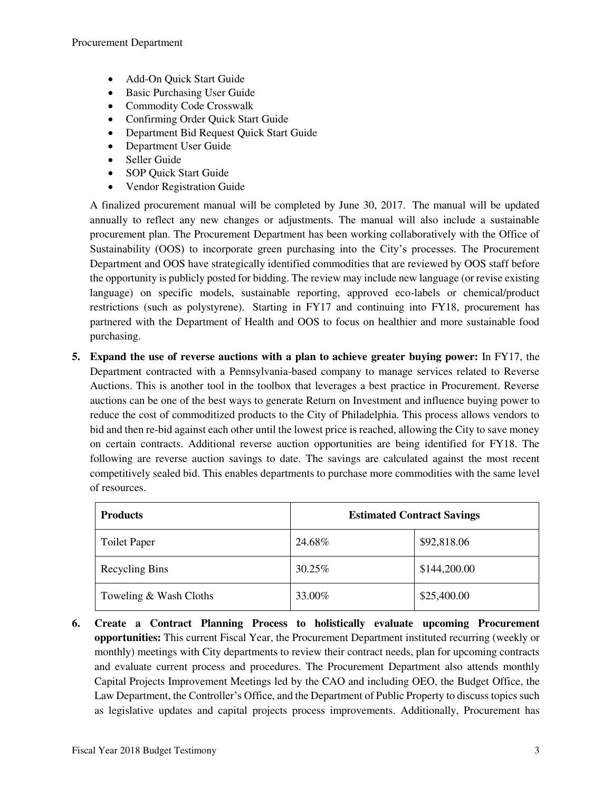- Add-On Ouick Start Guide
- Basic Purchasing User Guide
- Commodity Code Crosswalk
- Confirming Order Quick Start Guide
- Department Bid Request Quick Start Guide
- Department User Guide
- Seller Guide
- SOP Quick Start Guide
- Vendor Registration Guide

A finalized procurement manual will be completed by June 30, 2017. The manual will be updated annually to reflect any new changes or adjustments. The manual will also include a sustainable procurement plan. The Procurement Department has been working collaboratively with the Office of Sustainability (OOS) to incorporate green purchasing into the City's processes. The Procurement Department and OOS have strategically identified commodities that are reviewed by OOS staff before the opportunity is publicly posted for bidding. The review may include new language (or revise existing language) on specific models, sustainable reporting, approved eco-labels or chemical/product restrictions (such as polystyrene). Starting in FY17 and continuing into FY18, procurement has partnered with the Department of Health and OOS to focus on healthier and more sustainable food purchasing.

**5. Expand the use of reverse auctions with a plan to achieve greater buying power:** In FY17, the Department contracted with a Pennsylvania-based company to manage services related to Reverse Auctions. This is another tool in the toolbox that leverages a best practice in Procurement. Reverse auctions can be one of the best ways to generate Return on Investment and influence buying power to reduce the cost of commoditized products to the City of Philadelphia. This process allows vendors to bid and then re-bid against each other until the lowest price is reached, allowing the City to save money on certain contracts. Additional reverse auction opportunities are being identified for FY18. The following are reverse auction savings to date. The savings are calculated against the most recent competitively sealed bid. This enables departments to purchase more commodities with the same level of resources.

| <b>Products</b>        | <b>Estimated Contract Savings</b> |              |  |  |
|------------------------|-----------------------------------|--------------|--|--|
| <b>Toilet Paper</b>    | 24.68%                            | \$92,818.06  |  |  |
| <b>Recycling Bins</b>  | 30.25%                            | \$144,200.00 |  |  |
| Toweling & Wash Cloths | 33.00%                            | \$25,400.00  |  |  |

**6. Create a Contract Planning Process to holistically evaluate upcoming Procurement opportunities:** This current Fiscal Year, the Procurement Department instituted recurring (weekly or monthly) meetings with City departments to review their contract needs, plan for upcoming contracts and evaluate current process and procedures. The Procurement Department also attends monthly Capital Projects Improvement Meetings led by the CAO and including OEO, the Budget Office, the Law Department, the Controller's Office, and the Department of Public Property to discuss topics such as legislative updates and capital projects process improvements. Additionally, Procurement has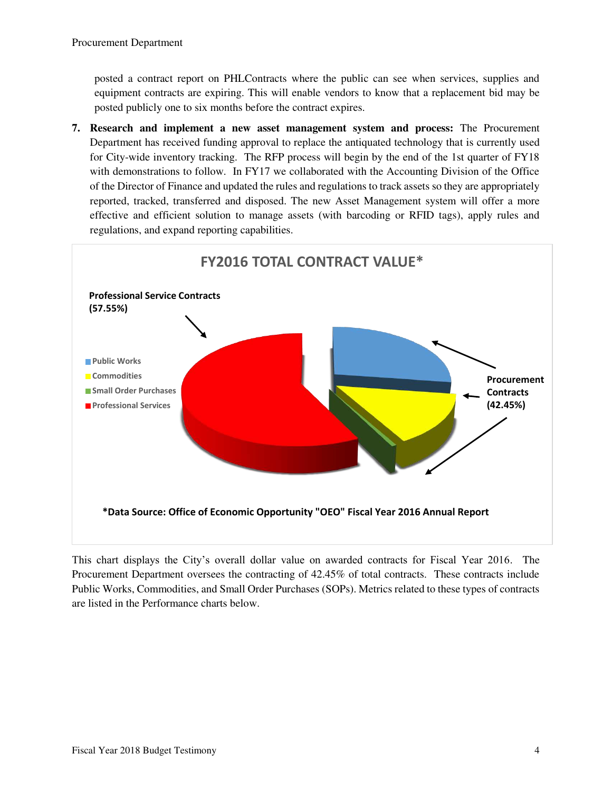posted a contract report on PHLContracts where the public can see when services, supplies and equipment contracts are expiring. This will enable vendors to know that a replacement bid may be posted publicly one to six months before the contract expires.

**7. Research and implement a new asset management system and process:** The Procurement Department has received funding approval to replace the antiquated technology that is currently used for City-wide inventory tracking. The RFP process will begin by the end of the 1st quarter of FY18 with demonstrations to follow. In FY17 we collaborated with the Accounting Division of the Office of the Director of Finance and updated the rules and regulations to track assets so they are appropriately reported, tracked, transferred and disposed. The new Asset Management system will offer a more effective and efficient solution to manage assets (with barcoding or RFID tags), apply rules and regulations, and expand reporting capabilities.



This chart displays the City's overall dollar value on awarded contracts for Fiscal Year 2016. The Procurement Department oversees the contracting of 42.45% of total contracts. These contracts include Public Works, Commodities, and Small Order Purchases (SOPs). Metrics related to these types of contracts are listed in the Performance charts below.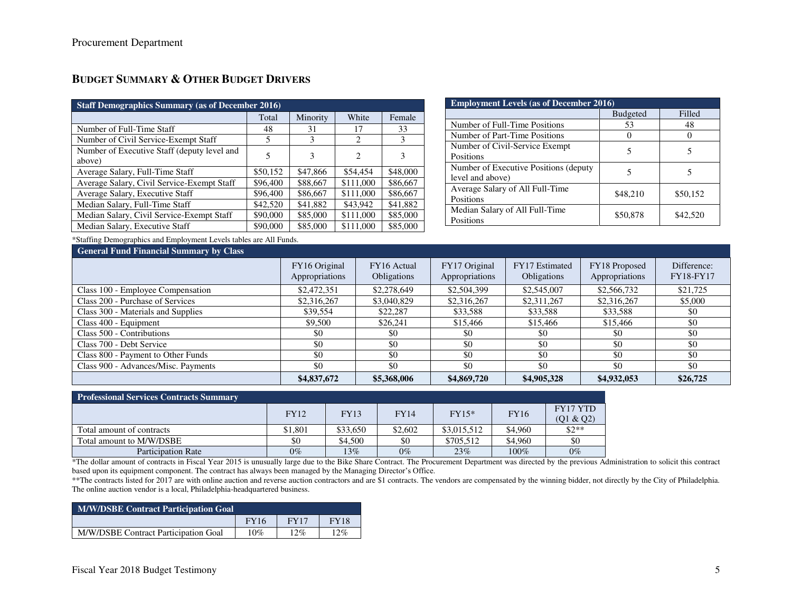## **BUDGET SUMMARY & OTHER BUDGET DRIVERS**

| <b>Staff Demographics Summary (as of December 2016)</b> |          |          |                               |          |  |  |  |
|---------------------------------------------------------|----------|----------|-------------------------------|----------|--|--|--|
|                                                         | Total    | Minority | White                         | Female   |  |  |  |
| Number of Full-Time Staff                               | 48       | 31       | 17                            | 33       |  |  |  |
| Number of Civil Service-Exempt Staff                    | 5        | 3        | $\mathcal{D}_{\mathcal{L}}$   | 3        |  |  |  |
| Number of Executive Staff (deputy level and             | 5        | 3        | $\mathfrak{D}_{\mathfrak{p}}$ | 3        |  |  |  |
| above)                                                  |          |          |                               |          |  |  |  |
| Average Salary, Full-Time Staff                         | \$50,152 | \$47,866 | \$54,454                      | \$48,000 |  |  |  |
| Average Salary, Civil Service-Exempt Staff              | \$96,400 | \$88,667 | \$111,000                     | \$86,667 |  |  |  |
| Average Salary, Executive Staff                         | \$96,400 | \$86,667 | \$111,000                     | \$86,667 |  |  |  |
| Median Salary, Full-Time Staff                          | \$42,520 | \$41,882 | \$43,942                      | \$41,882 |  |  |  |
| Median Salary, Civil Service-Exempt Staff               | \$90,000 | \$85,000 | \$111,000                     | \$85,000 |  |  |  |
| Median Salary, Executive Staff                          | \$90,000 | \$85,000 | \$111,000                     | \$85,000 |  |  |  |

| <b>Employment Levels (as of December 2016)</b>             |                 |          |  |  |
|------------------------------------------------------------|-----------------|----------|--|--|
|                                                            | <b>Budgeted</b> | Filled   |  |  |
| Number of Full-Time Positions                              | 53              | 48       |  |  |
| Number of Part-Time Positions                              |                 |          |  |  |
| Number of Civil-Service Exempt<br>Positions                | 5               |          |  |  |
|                                                            |                 |          |  |  |
| Number of Executive Positions (deputy)<br>level and above) |                 |          |  |  |
| Average Salary of All Full-Time<br>Positions               | \$48,210        | \$50,152 |  |  |
| Median Salary of All Full-Time<br>Positions                | \$50,878        | \$42,520 |  |  |

\*Staffing Demographics and Employment Levels tables are All Funds.

# General Fund Financial Sup

| General Fund Financial Summary by Class |                                 |                                   |                                 |                               |                                 |                          |
|-----------------------------------------|---------------------------------|-----------------------------------|---------------------------------|-------------------------------|---------------------------------|--------------------------|
|                                         | FY16 Original<br>Appropriations | FY16 Actual<br><b>Obligations</b> | FY17 Original<br>Appropriations | FY17 Estimated<br>Obligations | FY18 Proposed<br>Appropriations | Difference:<br>FY18-FY17 |
| Class 100 - Employee Compensation       | \$2,472,351                     | \$2,278,649                       | \$2,504,399                     | \$2,545,007                   | \$2,566,732                     | \$21,725                 |
| Class 200 - Purchase of Services        | \$2,316,267                     | \$3,040,829                       | \$2,316,267                     | \$2,311,267                   | \$2,316,267                     | \$5,000                  |
| Class 300 - Materials and Supplies      | \$39,554                        | \$22,287                          | \$33,588                        | \$33,588                      | \$33,588                        | \$0                      |
| Class 400 - Equipment                   | \$9,500                         | \$26,241                          | \$15,466                        | \$15,466                      | \$15,466                        | \$0                      |
| Class 500 - Contributions               | \$0                             | \$0                               | \$0                             | \$0                           | \$0                             | \$0                      |
| Class 700 - Debt Service                | \$0                             | \$0                               | \$0                             | \$0                           | \$0                             | \$0                      |
| Class 800 - Payment to Other Funds      | \$0                             | \$0                               | \$0                             | \$0                           | \$0                             | \$0                      |
| Class 900 - Advances/Misc. Payments     | \$0                             | \$0                               | \$0                             | \$0                           | \$0                             | \$0                      |
|                                         | \$4,837,672                     | \$5,368,006                       | \$4,869,720                     | \$4,905,328                   | \$4,932,053                     | \$26,725                 |

| <b>Professional Services Contracts Summary</b> |             |             |         |                                       |           |          |
|------------------------------------------------|-------------|-------------|---------|---------------------------------------|-----------|----------|
|                                                | <b>FY12</b> | <b>FY13</b> |         | <b>FY16</b><br>$FY15*$<br><b>FY14</b> |           | FY17 YTD |
|                                                |             |             |         |                                       | (Q1 & Q2) |          |
| Total amount of contracts                      | \$1,801     | \$33,650    | \$2,602 | \$3,015,512                           | \$4,960   | $$2**$$  |
| Total amount to M/W/DSBE                       | \$0         | \$4,500     | \$0     | \$705.512                             | \$4,960   | \$0      |
| Participation Rate                             | $0\%$       | $13\%$      | $0\%$   | 23%                                   | 100%      | $0\%$    |

\*The dollar amount of contracts in Fiscal Year 2015 is unusually large due to the Bike Share Contract. The Procurement Department was directed by the previous Administration to solicit this contract based upon its equipment component. The contract has always been managed by the Managing Director's Office.

\*\*The contracts listed for 2017 are with online auction and reverse auction contractors and are \$1 contracts. The vendors are compensated by the winning bidder, not directly by the City of Philadelphia. The online auction vendor is a local, Philadelphia-headquartered business.

| <b>M/W/DSBE Contract Participation Goal</b> |             |             |             |  |  |
|---------------------------------------------|-------------|-------------|-------------|--|--|
|                                             | <b>FY16</b> | <b>FY17</b> | <b>FY18</b> |  |  |
| M/W/DSBE Contract Participation Goal        | 10%         | $12\%$      | 12%         |  |  |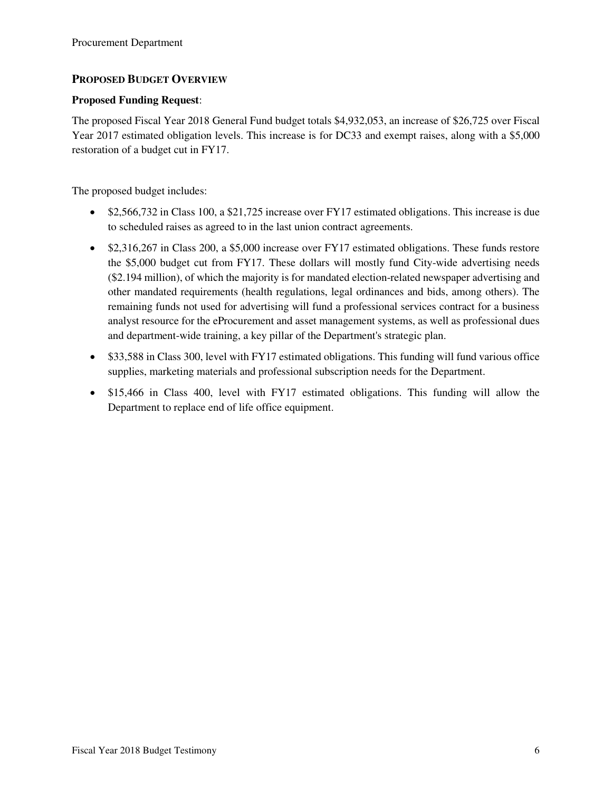#### **PROPOSED BUDGET OVERVIEW**

#### **Proposed Funding Request**:

The proposed Fiscal Year 2018 General Fund budget totals \$4,932,053, an increase of \$26,725 over Fiscal Year 2017 estimated obligation levels. This increase is for DC33 and exempt raises, along with a \$5,000 restoration of a budget cut in FY17.

The proposed budget includes:

- \$2,566,732 in Class 100, a \$21,725 increase over FY17 estimated obligations. This increase is due to scheduled raises as agreed to in the last union contract agreements.
- \$2,316,267 in Class 200, a \$5,000 increase over FY17 estimated obligations. These funds restore the \$5,000 budget cut from FY17. These dollars will mostly fund City-wide advertising needs (\$2.194 million), of which the majority is for mandated election-related newspaper advertising and other mandated requirements (health regulations, legal ordinances and bids, among others). The remaining funds not used for advertising will fund a professional services contract for a business analyst resource for the eProcurement and asset management systems, as well as professional dues and department-wide training, a key pillar of the Department's strategic plan.
- \$33,588 in Class 300, level with FY17 estimated obligations. This funding will fund various office supplies, marketing materials and professional subscription needs for the Department.
- \$15,466 in Class 400, level with FY17 estimated obligations. This funding will allow the Department to replace end of life office equipment.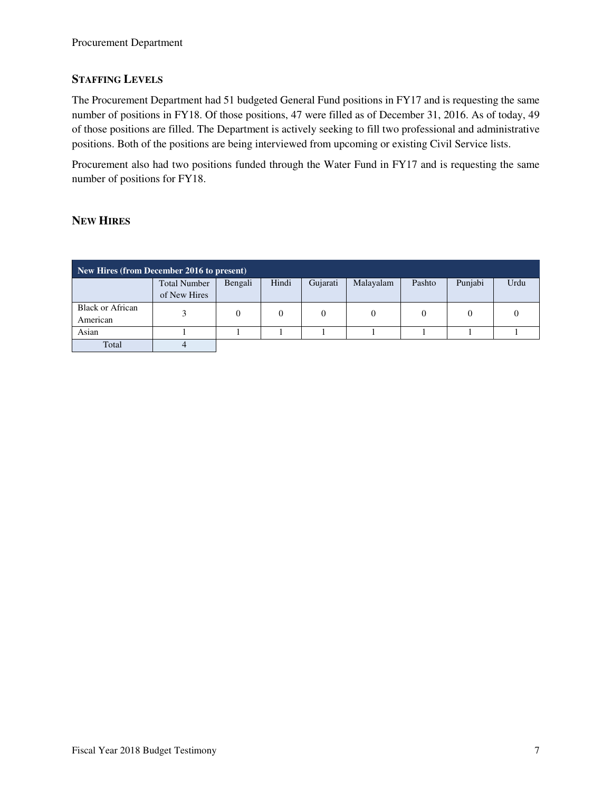### **STAFFING LEVELS**

The Procurement Department had 51 budgeted General Fund positions in FY17 and is requesting the same number of positions in FY18. Of those positions, 47 were filled as of December 31, 2016. As of today, 49 of those positions are filled. The Department is actively seeking to fill two professional and administrative positions. Both of the positions are being interviewed from upcoming or existing Civil Service lists.

Procurement also had two positions funded through the Water Fund in FY17 and is requesting the same number of positions for FY18.

#### **NEW HIRES**

| New Hires (from December 2016 to present) |                     |         |        |                |           |          |         |      |
|-------------------------------------------|---------------------|---------|--------|----------------|-----------|----------|---------|------|
|                                           | <b>Total Number</b> | Bengali | Hindi  | Gujarati       | Malayalam | Pashto   | Punjabi | Urdu |
|                                           | of New Hires        |         |        |                |           |          |         |      |
| <b>Black or African</b>                   |                     | 0       | $_{0}$ | $\overline{0}$ | 0         | $\theta$ | 0       |      |
| American                                  |                     |         |        |                |           |          |         |      |
| Asian                                     |                     |         |        |                |           |          |         |      |
| Total                                     |                     |         |        |                |           |          |         |      |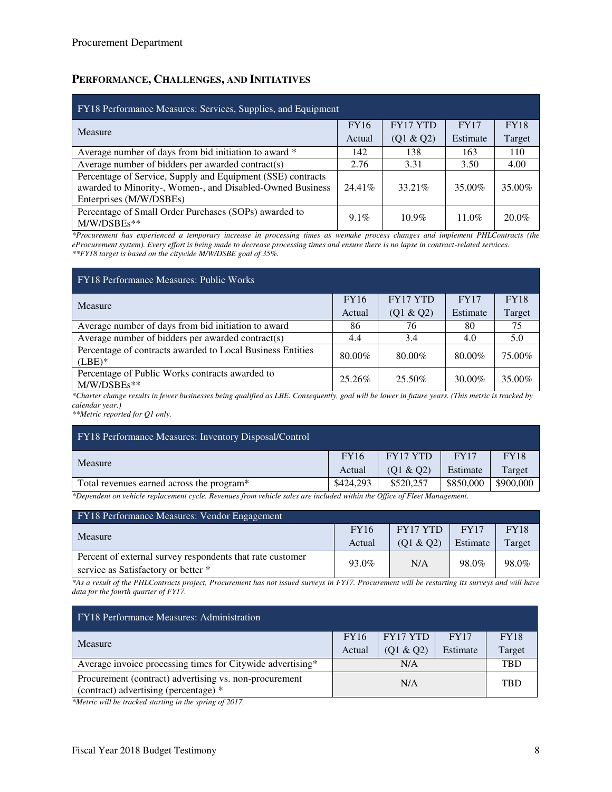### **PERFORMANCE, CHALLENGES, AND INITIATIVES**

| <b>FY18 Performance Measures: Services, Supplies, and Equipment</b>                                                                                 |         |                 |             |             |  |  |
|-----------------------------------------------------------------------------------------------------------------------------------------------------|---------|-----------------|-------------|-------------|--|--|
| Measure                                                                                                                                             |         | <b>FY17 YTD</b> | <b>FY17</b> | <b>FY18</b> |  |  |
|                                                                                                                                                     | Actual  | (Q1 & Q2)       | Estimate    | Target      |  |  |
| Average number of days from bid initiation to award *                                                                                               | 142     | 138             | 163         | 110         |  |  |
| Average number of bidders per awarded contract(s)                                                                                                   | 2.76    | 3.31            | 3.50        | 4.00        |  |  |
| Percentage of Service, Supply and Equipment (SSE) contracts<br>awarded to Minority-, Women-, and Disabled-Owned Business<br>Enterprises (M/W/DSBEs) | 24.41\% | 33.21\%         | 35.00%      | 35.00%      |  |  |
| Percentage of Small Order Purchases (SOPs) awarded to<br>$M/W/DSBEs**$                                                                              | $9.1\%$ | $10.9\%$        | $11.0\%$    | $20.0\%$    |  |  |

*\*Procurement has experienced a temporary increase in processing times as wemake process changes and implement PHLContracts (the eProcurement system). Every effort is being made to decrease processing times and ensure there is no lapse in contract-related services. \*\*FY18 target is based on the citywide M/W/DSBE goal of 35%.* 

| FY18 Performance Measures: Public Works                                 |             |                 |             |             |  |
|-------------------------------------------------------------------------|-------------|-----------------|-------------|-------------|--|
| Measure                                                                 | <b>FY16</b> | <b>FY17 YTD</b> | <b>FY17</b> | <b>FY18</b> |  |
|                                                                         | Actual      | (Q1 & Q2)       | Estimate    | Target      |  |
| Average number of days from bid initiation to award                     | 86          | 76              | 80          | 75          |  |
| Average number of bidders per awarded contract(s)                       | 4.4         | 3.4             | 4.0         | 5.0         |  |
| Percentage of contracts awarded to Local Business Entities<br>$(LEE)^*$ | 80.00%      | 80.00%          | 80.00%      | 75.00%      |  |
| Percentage of Public Works contracts awarded to<br>M/W/DSBEs**          | 25.26%      | 25.50%          | 30.00%      | 35.00%      |  |

*\*Charter change results in fewer businesses being qualified as LBE. Consequently, goal will be lower in future years. (This metric is tracked by calendar year.)* 

*\*\*Metric reported for Q1 only.*

| <b>FY18 Performance Measures: Inventory Disposal/Control</b>                                                               |             |              |             |             |
|----------------------------------------------------------------------------------------------------------------------------|-------------|--------------|-------------|-------------|
|                                                                                                                            | <b>FY16</b> | FY17 YTD     | <b>FY17</b> | <b>FY18</b> |
| Measure                                                                                                                    | Actual      | $(01 \& 02)$ | Estimate    | Target      |
| Total revenues earned across the program <sup>*</sup>                                                                      | \$424,293   | \$520.257    | \$850,000   | \$900,000   |
| $*$ Dependent on uskiele verlagement ande. Devenues from uskiele sales are included within the Office of Floot Management. |             |              |             |             |

*\*Dependent on vehicle replacement cycle. Revenues from vehicle sales are included within the Office of Fleet Management.* 

| FY18 Performance Measures: Vendor Engagement              |             |           |             |             |  |
|-----------------------------------------------------------|-------------|-----------|-------------|-------------|--|
| Measure                                                   | <b>FY16</b> | FY17 YTD  | <b>FY17</b> | <b>FY18</b> |  |
|                                                           | Actual      | (Q1 & Q2) | Estimate    | Target      |  |
| Percent of external survey respondents that rate customer | 93.0%       | N/A       | 98.0%       | 98.0%       |  |
| service as Satisfactory or better *                       |             |           |             |             |  |

*\*As a result of the PHLContracts project, Procurement has not issued surveys in FY17. Procurement will be restarting its surveys and will have data for the fourth quarter of FY17.* 

| <b>FY18</b> Performance Measures: Administration                                                |             |           |             |             |
|-------------------------------------------------------------------------------------------------|-------------|-----------|-------------|-------------|
| Measure                                                                                         | <b>FY16</b> | FY17 YTD  | <b>FY17</b> | <b>FY18</b> |
|                                                                                                 | Actual      | (01 & 02) | Estimate    | Target      |
| Average invoice processing times for Citywide advertising*                                      |             | N/A       |             | <b>TRD</b>  |
| Procurement (contract) advertising vs. non-procurement<br>(contract) advertising (percentage) * |             | N/A       |             | <b>TRD</b>  |

*\*Metric will be tracked starting in the spring of 2017.*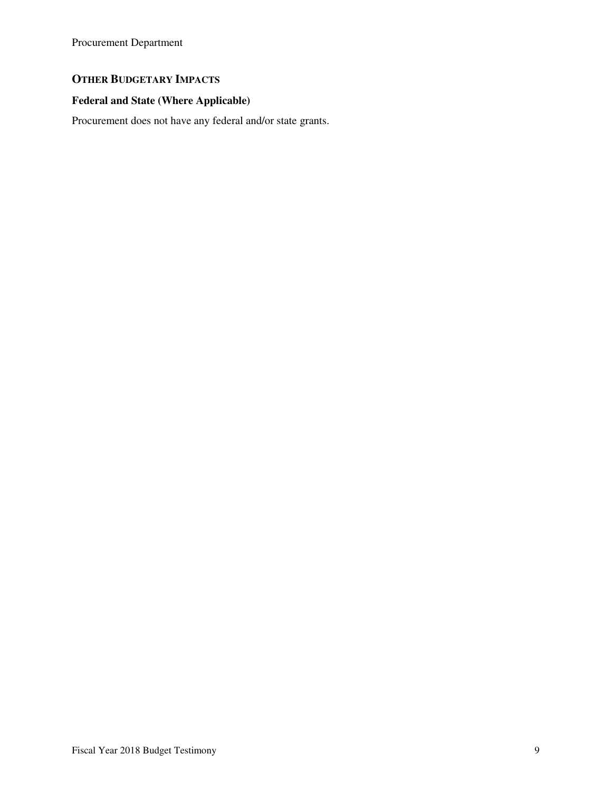# **OTHER BUDGETARY IMPACTS**

# **Federal and State (Where Applicable)**

Procurement does not have any federal and/or state grants.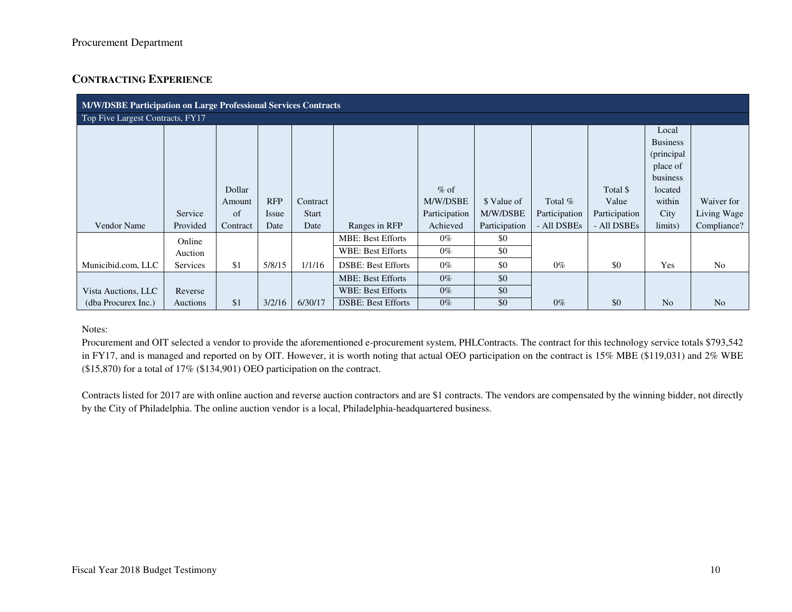## **CONTRACTING EXPERIENCE**

| M/W/DSBE Participation on Large Professional Services Contracts |                 |          |            |              |                           |               |               |               |               |                 |                |
|-----------------------------------------------------------------|-----------------|----------|------------|--------------|---------------------------|---------------|---------------|---------------|---------------|-----------------|----------------|
| Top Five Largest Contracts, FY17                                |                 |          |            |              |                           |               |               |               |               |                 |                |
|                                                                 |                 |          |            |              |                           |               |               |               |               | Local           |                |
|                                                                 |                 |          |            |              |                           |               |               |               |               | <b>Business</b> |                |
|                                                                 |                 |          |            |              |                           |               |               |               |               | (principal      |                |
|                                                                 |                 |          |            |              |                           |               |               |               |               | place of        |                |
|                                                                 |                 |          |            |              |                           |               |               |               |               | business        |                |
|                                                                 |                 | Dollar   |            |              |                           | $%$ of        |               |               | Total \$      | located         |                |
|                                                                 |                 | Amount   | <b>RFP</b> | Contract     |                           | M/W/DSBE      | \$ Value of   | Total $%$     | Value         | within          | Waiver for     |
|                                                                 | Service         | of       | Issue      | <b>Start</b> |                           | Participation | M/W/DSBE      | Participation | Participation | City            | Living Wage    |
| Vendor Name                                                     | Provided        | Contract | Date       | Date         | Ranges in RFP             | Achieved      | Participation | - All DSBEs   | - All DSBEs   | limits)         | Compliance?    |
|                                                                 | Online          |          |            |              | <b>MBE: Best Efforts</b>  | $0\%$         | \$0           |               |               |                 |                |
|                                                                 | Auction         |          |            |              | WBE: Best Efforts         | $0\%$         | \$0           |               |               |                 |                |
| Municibid.com, LLC                                              | <b>Services</b> | \$1      | 5/8/15     | 1/1/16       | <b>DSBE: Best Efforts</b> | $0\%$         | \$0           | $0\%$         | \$0           | Yes             | N <sub>o</sub> |
|                                                                 |                 |          |            |              | <b>MBE: Best Efforts</b>  | $0\%$         | \$0           |               |               |                 |                |
| Vista Auctions, LLC                                             | Reverse         |          |            |              | <b>WBE: Best Efforts</b>  | $0\%$         | \$0           |               |               |                 |                |
| (dba Procurex Inc.)                                             | Auctions        | \$1      | 3/2/16     | 6/30/17      | <b>DSBE: Best Efforts</b> | $0\%$         | \$0           | $0\%$         | \$0           | N <sub>o</sub>  | N <sub>o</sub> |

#### Notes:

Procurement and OIT selected a vendor to provide the aforementioned e-procurement system, PHLContracts. The contract for this technology service totals \$793,542 in FY17, and is managed and reported on by OIT. However, it is worth noting that actual OEO participation on the contract is 15% MBE (\$119,031) and 2% WBE (\$15,870) for a total of 17% (\$134,901) OEO participation on the contract.

Contracts listed for 2017 are with online auction and reverse auction contractors and are \$1 contracts. The vendors are compensated by the winning bidder, not directly by the City of Philadelphia. The online auction vendor is a local, Philadelphia-headquartered business.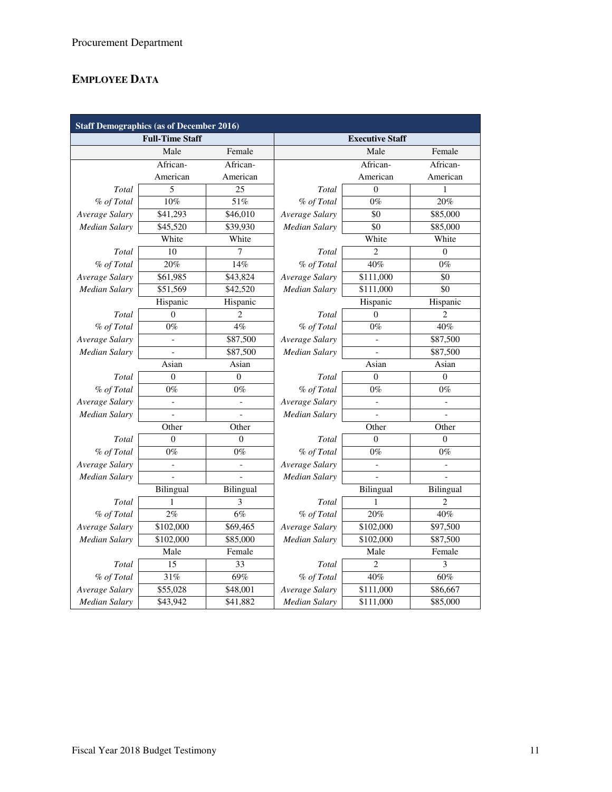# **EMPLOYEE DATA**

| <b>Staff Demographics (as of December 2016)</b> |                          |                          |                        |                       |                          |  |  |  |
|-------------------------------------------------|--------------------------|--------------------------|------------------------|-----------------------|--------------------------|--|--|--|
|                                                 | <b>Full-Time Staff</b>   |                          | <b>Executive Staff</b> |                       |                          |  |  |  |
|                                                 | Male                     | Female                   |                        | Male                  | Female                   |  |  |  |
|                                                 | African-                 | African-                 |                        | African-              | African-                 |  |  |  |
|                                                 | American                 | American                 |                        | American              | American                 |  |  |  |
| Total                                           | 5                        | 25                       | Total                  | $\Omega$              | 1                        |  |  |  |
| % of Total                                      | 10%                      | 51%                      | % of Total             | $0\%$                 | 20%                      |  |  |  |
| Average Salary                                  | \$41,293                 | \$46,010                 | Average Salary         | \$0                   | \$85,000                 |  |  |  |
| Median Salary                                   | \$45,520                 | \$39,930                 | Median Salary          | $\overline{50}$       | \$85,000                 |  |  |  |
|                                                 | White                    | White                    |                        | White                 | White                    |  |  |  |
| Total                                           | 10                       | 7                        | Total                  | $\overline{2}$        | $\theta$                 |  |  |  |
| % of Total                                      | 20%                      | 14%                      | % of Total             | 40%                   | $0\%$                    |  |  |  |
| Average Salary                                  | \$61,985                 | \$43,824                 | Average Salary         | \$111,000             | $\overline{50}$          |  |  |  |
| <b>Median Salary</b>                            | \$51,569                 | \$42,520                 | <b>Median Salary</b>   | \$111,000             | \$0                      |  |  |  |
|                                                 | Hispanic                 | Hispanic                 |                        | Hispanic              | Hispanic                 |  |  |  |
| Total                                           | $\Omega$                 | 2                        | Total                  | $\Omega$              | $\overline{2}$           |  |  |  |
| % of Total                                      | $0\%$                    | 4%                       | % of Total             | $0\%$                 | 40%                      |  |  |  |
| Average Salary                                  | $\overline{a}$           | \$87,500                 | Average Salary         |                       | \$87,500                 |  |  |  |
| Median Salary                                   |                          | \$87,500                 | Median Salary          |                       | \$87,500                 |  |  |  |
|                                                 | Asian                    | Asian                    | Asian<br>Asian         |                       |                          |  |  |  |
| Total                                           | $\Omega$                 | $\Omega$                 | Total                  | $\Omega$              | $\Omega$                 |  |  |  |
| % of Total                                      | $0\%$                    | $0\%$                    | % of Total             | $0\%$                 | $0\%$                    |  |  |  |
| Average Salary                                  | $\overline{\phantom{a}}$ | $\overline{\phantom{a}}$ | Average Salary         |                       | $\overline{\phantom{0}}$ |  |  |  |
| Median Salary                                   |                          |                          | Median Salary          |                       |                          |  |  |  |
|                                                 | Other                    | Other                    | Other<br>Other         |                       |                          |  |  |  |
| Total                                           | $\theta$                 | $\overline{0}$           | Total                  | $\theta$              | $\overline{0}$           |  |  |  |
| % of Total                                      | $0\%$                    | $0\%$                    | % of Total             | $0\%$                 | $0\%$                    |  |  |  |
| Average Salary                                  |                          |                          | Average Salary         |                       |                          |  |  |  |
| Median Salarv                                   |                          |                          | Median Salarv          |                       |                          |  |  |  |
|                                                 | Bilingual                | Bilingual                |                        | Bilingual             | Bilingual                |  |  |  |
| Total                                           | 1                        | 3                        | Total                  | 1                     | $\overline{\mathcal{L}}$ |  |  |  |
| % of Total                                      | 2%                       | 6%                       | % of Total             | 20%                   | 40%                      |  |  |  |
| Average Salary                                  | \$102,000                | \$69,465                 | Average Salary         | \$102,000             | \$97,500                 |  |  |  |
| Median Salary                                   | \$102,000                | \$85,000                 | Median Salary          | \$102,000             | \$87,500                 |  |  |  |
| Male                                            |                          | Female                   |                        | Male                  | Female                   |  |  |  |
| Total                                           | 15                       | 33                       | Total                  | $\overline{c}$        | 3                        |  |  |  |
| % of Total                                      | 31%                      | 69%                      | % of Total             | 40%                   | 60%                      |  |  |  |
| Average Salary                                  | \$55,028                 | \$48,001                 | Average Salary         | \$111,000             | \$86,667                 |  |  |  |
| Median Salary                                   | \$43,942                 | \$41,882                 | Median Salary          | $\overline{$}111,000$ | \$85,000                 |  |  |  |